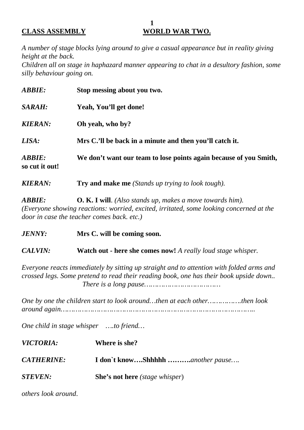#### **1 CLASS ASSEMBLY WORLD WAR TWO.**

*A number of stage blocks lying around to give a casual appearance but in reality giving height at the back.*

*Children all on stage in haphazard manner appearing to chat in a desultory fashion, some silly behaviour going on.*

| <b>ABBIE:</b>                   | Stop messing about you two.                                       |
|---------------------------------|-------------------------------------------------------------------|
| SARAH:                          | Yeah, You'll get done!                                            |
| <b>KIERAN:</b>                  | Oh yeah, who by?                                                  |
| LISA:                           | Mrs C.'ll be back in a minute and then you'll catch it.           |
| <b>ABBIE:</b><br>so cut it out! | We don't want our team to lose points again because of you Smith, |

*KIERAN:* **Try and make me** *(Stands up trying to look tough).*

*ABBIE:* **O. K. I will**. *(Also stands up, makes a move towards him). (Everyone showing reactions: worried, excited, irritated, some looking concerned at the door in case the teacher comes back. etc.)*

*JENNY:* **Mrs C. will be coming soon.**

*CALVIN:* **Watch out - here she comes now!** *A really loud stage whisper.*

*Everyone reacts immediately by sitting up straight and to attention with folded arms and crossed legs. Some pretend to read their reading book, one has their book upside down.. There is a long pause………………………………*

*One by one the children start to look around…then at each other…………….then look around again………………………………………………………………………………..*

*One child in stage whisper ….to friend…*

| <i>VICTORIA:</i>  | Where is she?                                  |
|-------------------|------------------------------------------------|
| <b>CATHERINE:</b> | I don't knowShhhhh another pause               |
| <b>STEVEN:</b>    | <b>She's not here</b> ( <i>stage whisper</i> ) |

*others look around*.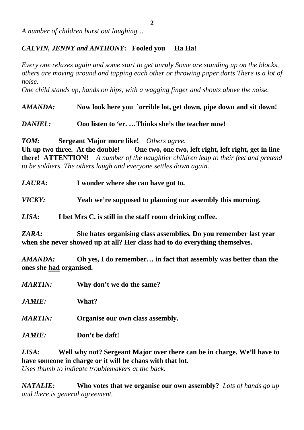*A number of children burst out laughing…*

## *CALVIN, JENNY and ANTHONY***: Fooled you Ha Ha!**

*Every one relaxes again and some start to get unruly Some are standing up on the blocks, others are moving around and tapping each other or throwing paper darts There is a lot of noise.*

*One child stands up, hands on hips, with a wagging finger and shouts above the noise.*

*AMANDA:* **Now look here you `orrible lot, get down, pipe down and sit down!**

*DANIEL:* **Ooo listen to 'er. …Thinks she's the teacher now!**

*TOM:* **Sergeant Major more like!** *Others agree.*

**Uh-up two three. At the double! One two, one two, left right, left right, get in line there! ATTENTION!** *A number of the naughtier children leap to their feet and pretend to be soldiers. The others laugh and everyone settles down again.*

*LAURA:* **I wonder where she can have got to.**

*VICKY:* **Yeah we're supposed to planning our assembly this morning.**

*LISA:* **I bet Mrs C. is still in the staff room drinking coffee.**

*ZARA:* **She hates organising class assemblies. Do you remember last year when she never showed up at all? Her class had to do everything themselves.**

*AMANDA:* **Oh yes, I do remember… in fact that assembly was better than the ones she had organised.**

*MARTIN:* **Why don't we do the same?**

*JAMIE:* **What?**

*MARTIN:* **Organise our own class assembly.**

*JAMIE:* **Don't be daft!**

*LISA:* **Well why not? Sergeant Major over there can be in charge. We'll have to have someone in charge or it will be chaos with that lot.**  *Uses thumb to indicate troublemakers at the back.*

*NATALIE:* **Who votes that we organise our own assembly?** *Lots of hands go up and there is general agreement.*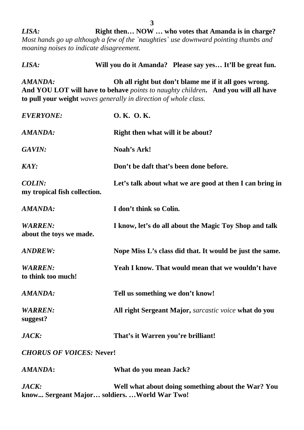*LISA:* **Right then… NOW … who votes that Amanda is in charge?** *Most hands go up although a few of the `naughties` use downward pointing thumbs and moaning noises to indicate disagreement.*

| LISA:                                         | Will you do it Amanda? Please say yes It'll be great fun.                                                                                                                                                      |
|-----------------------------------------------|----------------------------------------------------------------------------------------------------------------------------------------------------------------------------------------------------------------|
| AMANDA:                                       | Oh all right but don't blame me if it all goes wrong.<br>And YOU LOT will have to behave points to naughty children. And you will all have<br>to pull your weight waves generally in direction of whole class. |
| <b>EVERYONE:</b>                              | O.K. O.K.                                                                                                                                                                                                      |
| AMANDA:                                       | Right then what will it be about?                                                                                                                                                                              |
| GAVIN:                                        | Noah's Ark!                                                                                                                                                                                                    |
| <b>KAY:</b>                                   | Don't be daft that's been done before.                                                                                                                                                                         |
| <b>COLIN:</b><br>my tropical fish collection. | Let's talk about what we are good at then I can bring in                                                                                                                                                       |
| AMANDA:                                       | I don't think so Colin.                                                                                                                                                                                        |
| <b>WARREN:</b><br>about the toys we made.     | I know, let's do all about the Magic Toy Shop and talk                                                                                                                                                         |
| <b>ANDREW:</b>                                | Nope Miss L's class did that. It would be just the same.                                                                                                                                                       |
| <b>WARREN:</b><br>to think too much!          | Yeah I know. That would mean that we wouldn't have                                                                                                                                                             |
| AMANDA:                                       | Tell us something we don't know!                                                                                                                                                                               |
| <b>WARREN:</b><br>suggest?                    | All right Sergeant Major, sarcastic voice what do you                                                                                                                                                          |
| JACK:                                         | That's it Warren you're brilliant!                                                                                                                                                                             |
| <b>CHORUS OF VOICES: Never!</b>               |                                                                                                                                                                                                                |
| AMANDA:                                       | What do you mean Jack?                                                                                                                                                                                         |
| JACK:                                         | Well what about doing something about the War? You                                                                                                                                                             |

**know... Sergeant Major… soldiers. …World War Two!**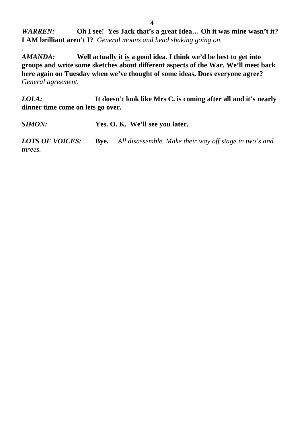*WARREN:* **Oh I see! Yes Jack that's a great Idea… Oh it was mine wasn't it? I AM brilliant aren't I?** *General moans and head shaking going on.*

*AMANDA:* **Well actually it is a good idea. I think we'd be best to get into groups and write some sketches about different aspects of the War. We'll meet back here again on Tuesday when we've thought of some ideas. Does everyone agree?**  *General agreement.*

*LOLA:* **It doesn't look like Mrs C. is coming after all and it's nearly dinner time come on lets go over.** 

*SIMON:* **Yes. O. K. We'll see you later.**

*.*

*LOTS OF VOICES:* **Bye.** *All disassemble. Make their way off stage in two's and threes.*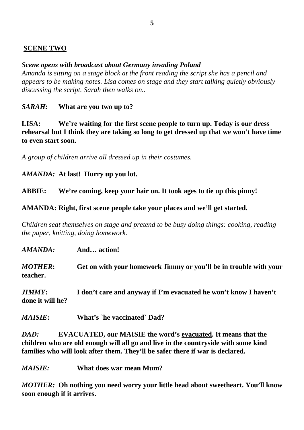# **SCENE TWO**

## *Scene opens with broadcast about Germany invading Poland*

*Amanda is sitting on a stage block at the front reading the script she has a pencil and appears to be making notes. Lisa comes on stage and they start talking quietly obviously discussing the script. Sarah then walks on..*

*SARAH:* **What are you two up to?**

**LISA: We're waiting for the first scene people to turn up. Today is our dress rehearsal but I think they are taking so long to get dressed up that we won't have time to even start soon.**

*A group of children arrive all dressed up in their costumes.*

*AMANDA:* **At last! Hurry up you lot.**

**ABBIE: We're coming, keep your hair on. It took ages to tie up this pinny!**

**AMANDA: Right, first scene people take your places and we'll get started.**

*Children seat themselves on stage and pretend to be busy doing things: cooking, reading the paper, knitting, doing homework.*

*AMANDA:* **And… action!**

*MOTHER***: Get on with your homework Jimmy or you'll be in trouble with your teacher.**

*JIMMY***: I don't care and anyway if I'm evacuated he won't know I haven't done it will he?**

*MAISIE***: What's `he vaccinated` Dad?**

*DAD:* **EVACUATED, our MAISIE the word's evacuated. It means that the children who are old enough will all go and live in the countryside with some kind families who will look after them. They'll be safer there if war is declared.**

*MAISIE:* **What does war mean Mum?**

*MOTHER:* **Oh nothing you need worry your little head about sweetheart. You'll know soon enough if it arrives.**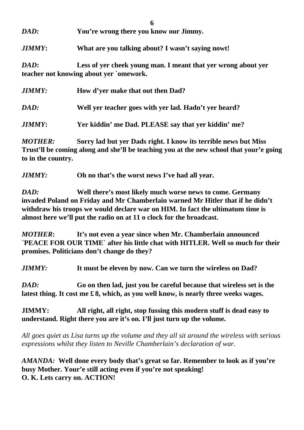| DAD: | You're wrong there you know our Jimmy. |  |
|------|----------------------------------------|--|

*JIMMY***: What are you talking about? I wasn't saying nowt!**

*DAD***: Less of yer cheek young man. I meant that yer wrong about yer teacher not knowing about yer `omework.**

| <i>JIMMY:</i>  | How d'yer make that out then Dad?                     |
|----------------|-------------------------------------------------------|
| DAD:           | Well ver teacher goes with yer lad. Hadn't yer heard? |
| <i>JIMMY</i> : | Yer kiddin' me Dad. PLEASE say that yer kiddin' me?   |

*MOTHER:* **Sorry lad but yer Dads right. I know its terrible news but Miss Trust'll be coming along and she'll be teaching you at the new school that your'e going to in the country.**

*JIMMY:* **Oh no that's the worst news I've had all year.**

*DAD:* **Well there's most likely much worse news to come. Germany invaded Poland on Friday and Mr Chamberlain warned Mr Hitler that if he didn't withdraw his troops we would declare war on HIM. In fact the ultimatum time is almost here we'll put the radio on at 11 o clock for the broadcast.**

*MOTHER***: It's not even a year since when Mr. Chamberlain announced `PEACE FOR OUR TIME` after his little chat with HITLER. Well so much for their promises. Politicians don't change do they?**

*JIMMY:* **It must be eleven by now. Can we turn the wireless on Dad?**

*DAD:* **Go on then lad, just you be careful because that wireless set is the latest thing. It cost me £ 8, which, as you well know, is nearly three weeks wages.**

**JIMMY: All right, all right, stop fussing this modern stuff is dead easy to understand. Right there you are it's on. I'll just turn up the volume.**

*All goes quiet as Lisa turns up the volume and they all sit around the wireless with serious expressions whilst they listen to Neville Chamberlain's declaration of war.*

*AMANDA:* **Well done every body that's great so far. Remember to look as if you're busy Mother. Your'e still acting even if you're not speaking! O. K. Lets carry on. ACTION!**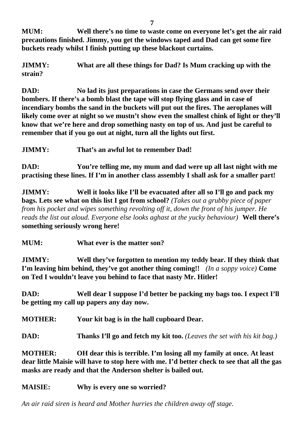**MUM: Well there's no time to waste come on everyone let's get the air raid precautions finished. Jimmy, you get the windows taped and Dad can get some fire buckets ready whilst I finish putting up these blackout curtains.**

**JIMMY: What are all these things for Dad? Is Mum cracking up with the strain?**

**DAD: No lad its just preparations in case the Germans send over their bombers. If there's a bomb blast the tape will stop flying glass and in case of incendiary bombs the sand in the buckets will put out the fires. The aeroplanes will likely come over at night so we mustn't show even the smallest chink of light or they'll know that we're here and drop something nasty on top of us. And just be careful to remember that if you go out at night, turn all the lights out first.**

**JIMMY: That's an awful lot to remember Dad!**

**DAD: You're telling me, my mum and dad were up all last night with me practising these lines. If I'm in another class assembly I shall ask for a smaller part!**

**JIMMY: Well it looks like I'll be evacuated after all so I'll go and pack my bags. Lets see what on this list I got from school?** *(Takes out a grubby piece of paper from his pocket and wipes something revolting off it, down the front of his jumper. He reads the list out aloud. Everyone else looks aghast at the yucky behaviour)* **Well there's something seriously wrong here!**

**MUM: What ever is the matter son?**

**JIMMY: Well they've forgotten to mention my teddy bear. If they think that I'm leaving him behind, they've got another thing coming!!** *(In a soppy voice)* **Come on Ted I wouldn't leave you behind to face that nasty Mr. Hitler!**

**DAD: Well dear I suppose I'd better be packing my bags too. I expect I'll be getting my call up papers any day now.**

**MOTHER: Your kit bag is in the hall cupboard Dear.**

**DAD: Thanks I'll go and fetch my kit too.** *(Leaves the set with his kit bag.)* 

**MOTHER: OH dear this is terrible. I'm losing all my family at once. At least dear little Maisie will have to stop here with me. I'd better check to see that all the gas masks are ready and that the Anderson shelter is bailed out.**

# **MAISIE: Why is every one so worried?**

*An air raid siren is heard and Mother hurries the children away off stage.*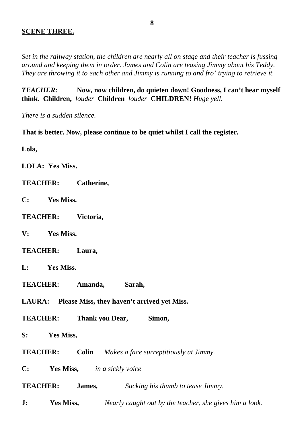### **SCENE THREE.**

*Set in the railway station, the children are nearly all on stage and their teacher is fussing around and keeping them in order. James and Colin are teasing Jimmy about his Teddy. They are throwing it to each other and Jimmy is running to and fro' trying to retrieve it.*

*TEACHER:* **Now, now children, do quieten down! Goodness, I can't hear myself think. Children,** *louder* **Children** *louder* **CHILDREN!** *Huge yell.*

*There is a sudden silence.*

**That is better. Now, please continue to be quiet whilst I call the register.**

**Lola,** 

**LOLA: Yes Miss.**

- **TEACHER: Catherine,**
- **C: Yes Miss.**
- **TEACHER: Victoria,**
- **V: Yes Miss.**
- **TEACHER: Laura,**
- **L: Yes Miss.**
- **TEACHER: Amanda, Sarah,**

**LAURA: Please Miss, they haven't arrived yet Miss.**

**TEACHER: Thank you Dear, Simon,** 

**S: Yes Miss,**

**TEACHER: Colin** *Makes a face surreptitiously at Jimmy.* 

**C: Yes Miss,** *in a sickly voice*

**TEACHER: James,** *Sucking his thumb to tease Jimmy.*

**J: Yes Miss,** *Nearly caught out by the teacher, she gives him a look.*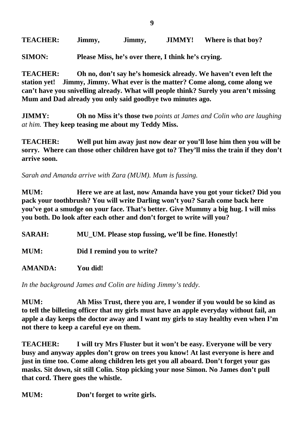**TEACHER: Jimmy, Jimmy, JIMMY! Where is that boy?**

**SIMON: Please Miss, he's over there, I think he's crying.**

**TEACHER: Oh no, don't say he's homesick already. We haven't even left the station yet! Jimmy, Jimmy. What ever is the matter? Come along, come along we can't have you snivelling already. What will people think? Surely you aren't missing Mum and Dad already you only said goodbye two minutes ago.**

**JIMMY: Oh no Miss it's those two** *points at James and Colin who are laughing at him.* **They keep teasing me about my Teddy Miss.**

**TEACHER: Well put him away just now dear or you'll lose him then you will be sorry. Where can those other children have got to? They'll miss the train if they don't arrive soon.**

*Sarah and Amanda arrive with Zara (MUM). Mum is fussing.*

**MUM: Here we are at last, now Amanda have you got your ticket? Did you pack your toothbrush? You will write Darling won't you? Sarah come back here you've got a smudge on your face. That's better. Give Mummy a big hug. I will miss you both. Do look after each other and don't forget to write will you?**

**SARAH: MU\_UM. Please stop fussing, we'll be fine. Honestly! MUM: Did I remind you to write? AMANDA: You did!**

*In the background James and Colin are hiding Jimmy's teddy.*

**MUM: Ah Miss Trust, there you are, I wonder if you would be so kind as to tell the billeting officer that my girls must have an apple everyday without fail, an apple a day keeps the doctor away and I want my girls to stay healthy even when I'm not there to keep a careful eye on them.**

**TEACHER: I will try Mrs Fluster but it won't be easy. Everyone will be very busy and anyway apples don't grow on trees you know! At last everyone is here and just in time too. Come along children lets get you all aboard. Don't forget your gas masks. Sit down, sit still Colin. Stop picking your nose Simon. No James don't pull that cord. There goes the whistle.**

**MUM: Don't forget to write girls.**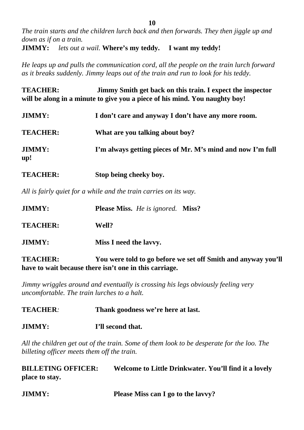*The train starts and the children lurch back and then forwards. They then jiggle up and down as if on a train.*

**JIMMY:** *lets out a wail.* **Where's my teddy. I want my teddy!**

*He leaps up and pulls the communication cord, all the people on the train lurch forward as it breaks suddenly. Jimmy leaps out of the train and run to look for his teddy.*

**TEACHER: Jimmy Smith get back on this train. I expect the inspector will be along in a minute to give you a piece of his mind. You naughty boy!**

| <b>JIMMY:</b>        | I don't care and anyway I don't have any more room.        |
|----------------------|------------------------------------------------------------|
| <b>TEACHER:</b>      | What are you talking about boy?                            |
| <b>JIMMY:</b><br>up! | I'm always getting pieces of Mr. M's mind and now I'm full |
|                      |                                                            |

**TEACHER: Stop being cheeky boy.**

*All is fairly quiet for a while and the train carries on its way.*

| <b>JIMMY:</b>   | <b>Please Miss.</b> He is ignored. <b>Miss?</b> |  |
|-----------------|-------------------------------------------------|--|
| <b>TEACHER:</b> | Well?                                           |  |
| <b>JIMMY:</b>   | Miss I need the lavyy.                          |  |

**TEACHER: You were told to go before we set off Smith and anyway you'll have to wait because there isn't one in this carriage.**

*Jimmy wriggles around and eventually is crossing his legs obviously feeling very uncomfortable. The train lurches to a halt.*

**TEACHER***:* **Thank goodness we're here at last.**

**JIMMY: I'll second that.**

*All the children get out of the train. Some of them look to be desperate for the loo. The billeting officer meets them off the train.*

| <b>BILLETING OFFICER:</b> | Welcome to Little Drinkwater. You'll find it a lovely |
|---------------------------|-------------------------------------------------------|
| place to stay.            |                                                       |

| <b>JIMMY:</b> | Please Miss can I go to the lavvy? |  |
|---------------|------------------------------------|--|
|---------------|------------------------------------|--|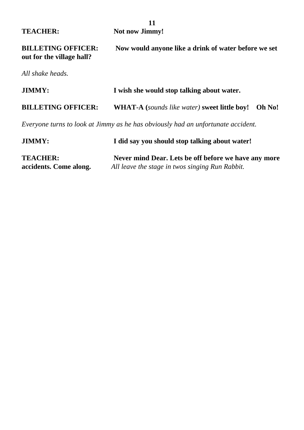|                                                                 | 11                                                                                                      |
|-----------------------------------------------------------------|---------------------------------------------------------------------------------------------------------|
| <b>TEACHER:</b>                                                 | <b>Not now Jimmy!</b>                                                                                   |
| <b>BILLETING OFFICER:</b><br>out for the village hall?          | Now would anyone like a drink of water before we set                                                    |
| All shake heads.                                                |                                                                                                         |
| <b>JIMMY:</b>                                                   | I wish she would stop talking about water.                                                              |
| <b>BILLETING OFFICER:</b>                                       | <b>WHAT-A</b> (sounds like water) sweet little boy!<br>Oh No!                                           |
|                                                                 | Everyone turns to look at Jimmy as he has obviously had an unfortunate accident.                        |
| <b>JIMMY:</b><br>I did say you should stop talking about water! |                                                                                                         |
| <b>TEACHER:</b><br>accidents. Come along.                       | Never mind Dear. Lets be off before we have any more<br>All leave the stage in twos singing Run Rabbit. |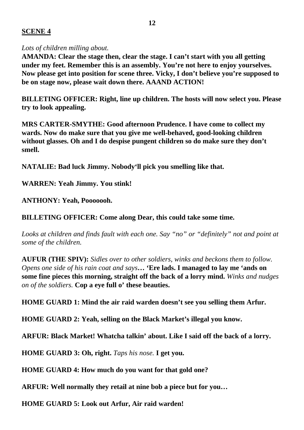## **SCENE 4**

### *Lots of children milling about.*

**AMANDA: Clear the stage then, clear the stage. I can't start with you all getting under my feet. Remember this is an assembly. You're not here to enjoy yourselves. Now please get into position for scene three. Vicky, I don't believe you're supposed to be on stage now, please wait down there. AAAND ACTION!** 

**BILLETING OFFICER: Right, line up children. The hosts will now select you. Please try to look appealing.**

**MRS CARTER-SMYTHE: Good afternoon Prudence. I have come to collect my wards. Now do make sure that you give me well-behaved, good-looking children without glasses. Oh and I do despise pungent children so do make sure they don't smell.**

**NATALIE: Bad luck Jimmy. Nobody'll pick you smelling like that.**

**WARREN: Yeah Jimmy. You stink!**

**ANTHONY: Yeah, Pooooooh.**

**BILLETING OFFICER: Come along Dear, this could take some time.**

*Looks at children and finds fault with each one. Say "no" or "definitely" not and point at some of the children.*

**AUFUR (THE SPIV):** *Sidles over to other soldiers, winks and beckons them to follow. Opens one side of his rain coat and says***… 'Ere lads. I managed to lay me 'ands on some fine pieces this morning, straight off the back of a lorry mind.** *Winks and nudges on of the soldiers.* **Cop a eye full o' these beauties.**

**HOME GUARD 1: Mind the air raid warden doesn't see you selling them Arfur.**

**HOME GUARD 2: Yeah, selling on the Black Market's illegal you know.**

**ARFUR: Black Market! Whatcha talkin' about. Like I said off the back of a lorry.** 

**HOME GUARD 3: Oh, right.** *Taps his nose.* **I get you.**

**HOME GUARD 4: How much do you want for that gold one?**

**ARFUR: Well normally they retail at nine bob a piece but for you…**

**HOME GUARD 5: Look out Arfur, Air raid warden!**